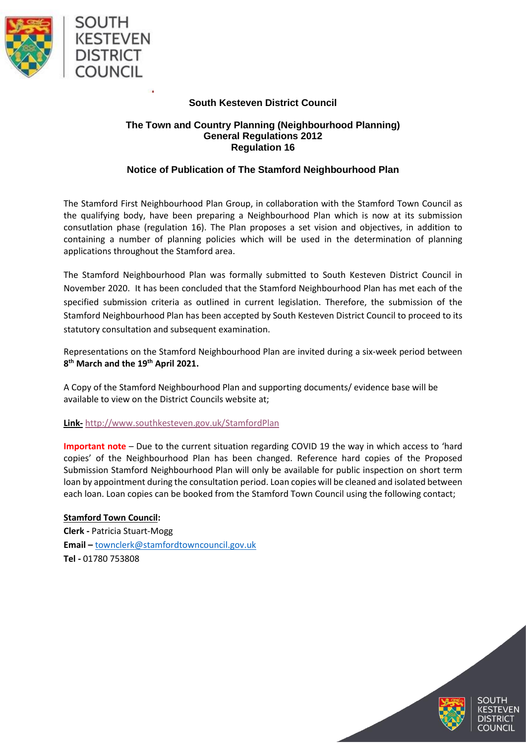

## **South Kesteven District Council**

## **The Town and Country Planning (Neighbourhood Planning) General Regulations 2012 Regulation 16**

## **Notice of Publication of The Stamford Neighbourhood Plan**

The Stamford First Neighbourhood Plan Group, in collaboration with the Stamford Town Council as the qualifying body, have been preparing a Neighbourhood Plan which is now at its submission consutlation phase (regulation 16). The Plan proposes a set vision and objectives, in addition to containing a number of planning policies which will be used in the determination of planning applications throughout the Stamford area.

The Stamford Neighbourhood Plan was formally submitted to South Kesteven District Council in November 2020. It has been concluded that the Stamford Neighbourhood Plan has met each of the specified submission criteria as outlined in current legislation. Therefore, the submission of the Stamford Neighbourhood Plan has been accepted by South Kesteven District Council to proceed to its statutory consultation and subsequent examination.

Representations on the Stamford Neighbourhood Plan are invited during a six-week period between **8 th March and the 19th April 2021.** 

A Copy of the Stamford Neighbourhood Plan and supporting documents/ evidence base will be available to view on the District Councils website at;

## **Link-** <http://www.southkesteven.gov.uk/StamfordPlan>

**Important note** – Due to the current situation regarding COVID 19 the way in which access to 'hard copies' of the Neighbourhood Plan has been changed. Reference hard copies of the Proposed Submission Stamford Neighbourhood Plan will only be available for public inspection on short term loan by appointment during the consultation period. Loan copies will be cleaned and isolated between each loan. Loan copies can be booked from the Stamford Town Council using the following contact;

**Stamford Town Council: Clerk -** Patricia Stuart-Mogg **Email –** [townclerk@stamfordtowncouncil.gov.uk](mailto:townclerk@stamfordtowncouncil.gov.uk) **Tel -** 01780 753808